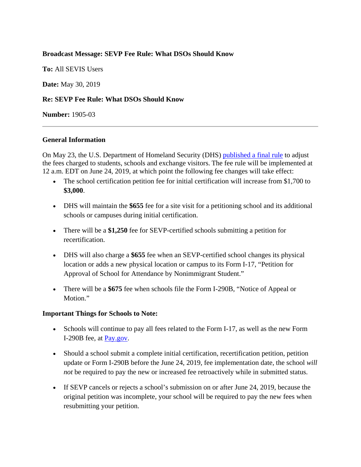### **Broadcast Message: SEVP Fee Rule: What DSOs Should Know**

**To:** All SEVIS Users

**Date:** May 30, 2019

### **Re: SEVP Fee Rule: What DSOs Should Know**

**Number:** 1905-03

#### **General Information**

On May 23, the U.S. Department of Homeland Security (DHS) [published a final rule](https://www.federalregister.gov/documents/2019/05/23/2019-10884/program-fees-for-the-student-and-exchange-visitor-program) to adjust the fees charged to students, schools and exchange visitors. The fee rule will be implemented at 12 a.m. EDT on June 24, 2019, at which point the following fee changes will take effect:

- The school certification petition fee for initial certification will increase from \$1,700 to **\$3,000**.
- DHS will maintain the **\$655** fee for a site visit for a petitioning school and its additional schools or campuses during initial certification.
- There will be a **\$1,250** fee for SEVP-certified schools submitting a petition for recertification.
- DHS will also charge a **\$655** fee when an SEVP-certified school changes its physical location or adds a new physical location or campus to its Form I-17, "Petition for Approval of School for Attendance by Nonimmigrant Student."
- There will be a **\$675** fee when schools file the Form I-290B, "Notice of Appeal or Motion."

#### **Important Things for Schools to Note:**

- Schools will continue to pay all fees related to the Form I-17, as well as the new Form I-290B fee, at [Pay.gov.](https://pay.gov/public/home)
- Should a school submit a complete initial certification, recertification petition, petition update or Form I-290B before the June 24, 2019, fee implementation date, the school *will not* be required to pay the new or increased fee retroactively while in submitted status.
- If SEVP cancels or rejects a school's submission on or after June 24, 2019, because the original petition was incomplete, your school will be required to pay the new fees when resubmitting your petition.